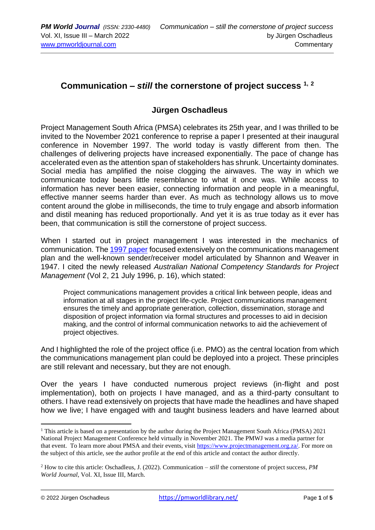## **Communication –** *still* **the cornerstone of project success 1, <sup>2</sup>**

## **Jürgen Oschadleus**

Project Management South Africa (PMSA) celebrates its 25th year, and I was thrilled to be invited to the November 2021 conference to reprise a paper I presented at their inaugural conference in November 1997. The world today is vastly different from then. The challenges of delivering projects have increased exponentially. The pace of change has accelerated even as the attention span of stakeholders has shrunk. Uncertainty dominates. Social media has amplified the noise clogging the airwaves. The way in which we communicate today bears little resemblance to what it once was. While access to information has never been easier, connecting information and people in a meaningful, effective manner seems harder than ever. As much as technology allows us to move content around the globe in milliseconds, the time to truly engage and absorb information and distil meaning has reduced proportionally. And yet it is as true today as it ever has been, that communication is still the cornerstone of project success.

When I started out in project management I was interested in the mechanics of communication. Th[e 1997 paper](https://bit.ly/3gfZA66) focused extensively on the communications management plan and the well-known sender/receiver model articulated by Shannon and Weaver in 1947. I cited the newly released *Australian National Competency Standards for Project Management* (Vol 2, 21 July 1996, p. 16), which stated:

Project communications management provides a critical link between people, ideas and information at all stages in the project life-cycle. Project communications management ensures the timely and appropriate generation, collection, dissemination, storage and disposition of project information via formal structures and processes to aid in decision making, and the control of informal communication networks to aid the achievement of project objectives.

And I highlighted the role of the project office (i.e. PMO) as the central location from which the communications management plan could be deployed into a project. These principles are still relevant and necessary, but they are not enough.

Over the years I have conducted numerous project reviews (in-flight and post implementation), both on projects I have managed, and as a third-party consultant to others. I have read extensively on projects that have made the headlines and have shaped how we live; I have engaged with and taught business leaders and have learned about

<sup>&</sup>lt;sup>1</sup> This article is based on a presentation by the author during the Project Management South Africa (PMSA)  $2021$ National Project Management Conference held virtually in November 2021. The PMWJ was a media partner for that event. To learn more about PMSA and their events, visit [https://www.projectmanagement.org.za/.](https://www.projectmanagement.org.za/) For more on the subject of this article, see the author profile at the end of this article and contact the author directly.

<sup>2</sup> How to cite this article: Oschadleus, J. (2022). Communication – *still* the cornerstone of project success, *PM World Journal*, Vol. XI, Issue III, March.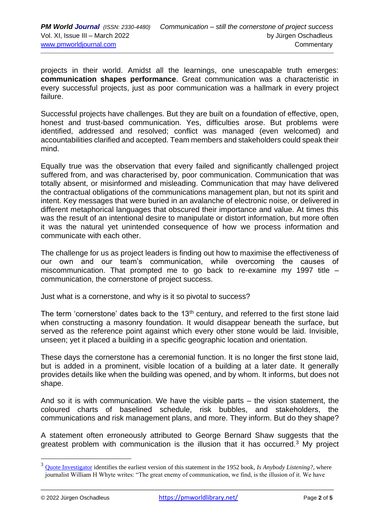projects in their world. Amidst all the learnings, one unescapable truth emerges: **communication shapes performance**. Great communication was a characteristic in every successful projects, just as poor communication was a hallmark in every project failure.

Successful projects have challenges. But they are built on a foundation of effective, open, honest and trust-based communication. Yes, difficulties arose. But problems were identified, addressed and resolved; conflict was managed (even welcomed) and accountabilities clarified and accepted. Team members and stakeholders could speak their mind.

Equally true was the observation that every failed and significantly challenged project suffered from, and was characterised by, poor communication. Communication that was totally absent, or misinformed and misleading. Communication that may have delivered the contractual obligations of the communications management plan, but not its spirit and intent. Key messages that were buried in an avalanche of electronic noise, or delivered in different metaphorical languages that obscured their importance and value. At times this was the result of an intentional desire to manipulate or distort information, but more often it was the natural yet unintended consequence of how we process information and communicate with each other.

The challenge for us as project leaders is finding out how to maximise the effectiveness of our own and our team's communication, while overcoming the causes of miscommunication. That prompted me to go back to re-examine my 1997 title – communication, the cornerstone of project success.

Just what is a cornerstone, and why is it so pivotal to success?

The term 'cornerstone' dates back to the 13<sup>th</sup> century, and referred to the first stone laid when constructing a masonry foundation. It would disappear beneath the surface, but served as the reference point against which every other stone would be laid. Invisible, unseen; yet it placed a building in a specific geographic location and orientation.

These days the cornerstone has a ceremonial function. It is no longer the first stone laid, but is added in a prominent, visible location of a building at a later date. It generally provides details like when the building was opened, and by whom. It informs, but does not shape.

And so it is with communication. We have the visible parts – the vision statement, the coloured charts of baselined schedule, risk bubbles, and stakeholders, the communications and risk management plans, and more. They inform. But do they shape?

A statement often erroneously attributed to George Bernard Shaw suggests that the greatest problem with communication is the illusion that it has occurred.<sup>3</sup> My project

<sup>3</sup> [Quote Investigator](https://quoteinvestigator.com/2014/08/31/illusion/) identifies the earliest version of this statement in the 1952 book, *Is Anybody Listening?*, where journalist William H Whyte writes: "The great enemy of communication, we find, is the illusion of it. We have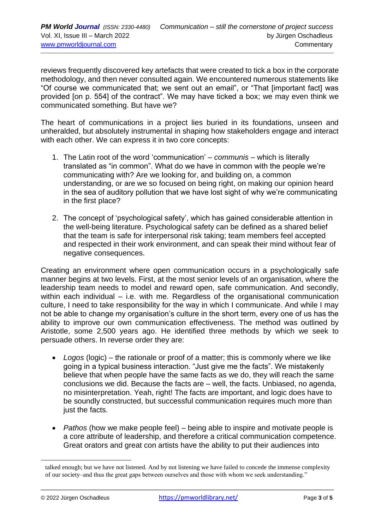reviews frequently discovered key artefacts that were created to tick a box in the corporate methodology, and then never consulted again. We encountered numerous statements like "Of course we communicated that; we sent out an email", or "That [important fact] was provided [on p. 554] of the contract". We may have ticked a box; we may even think we communicated something. But have we?

The heart of communications in a project lies buried in its foundations, unseen and unheralded, but absolutely instrumental in shaping how stakeholders engage and interact with each other. We can express it in two core concepts:

- 1. The Latin root of the word 'communication' *communis* which is literally translated as "in common". What do we have in common with the people we're communicating with? Are we looking for, and building on, a common understanding, or are we so focused on being right, on making our opinion heard in the sea of auditory pollution that we have lost sight of why we're communicating in the first place?
- 2. The concept of 'psychological safety', which has gained considerable attention in the well-being literature. Psychological safety can be defined as a shared belief that the team is safe for interpersonal risk taking; team members feel accepted and respected in their work environment, and can speak their mind without fear of negative consequences.

Creating an environment where open communication occurs in a psychologically safe manner begins at two levels. First, at the most senior levels of an organisation, where the leadership team needs to model and reward open, safe communication. And secondly, within each individual – i.e. with me. Regardless of the organisational communication culture, I need to take responsibility for the way in which I communicate. And while I may not be able to change my organisation's culture in the short term, every one of us has the ability to improve our own communication effectiveness. The method was outlined by Aristotle, some 2,500 years ago. He identified three methods by which we seek to persuade others. In reverse order they are:

- *Logos* (logic) the rationale or proof of a matter; this is commonly where we like going in a typical business interaction. "Just give me the facts". We mistakenly believe that when people have the same facts as we do, they will reach the same conclusions we did. Because the facts are – well, the facts. Unbiased, no agenda, no misinterpretation. Yeah, right! The facts are important, and logic does have to be soundly constructed, but successful communication requires much more than just the facts.
- *Pathos* (how we make people feel) being able to inspire and motivate people is a core attribute of leadership, and therefore a critical communication competence. Great orators and great con artists have the ability to put their audiences into

talked enough; but we have not listened. And by not listening we have failed to concede the immense complexity of our society–and thus the great gaps between ourselves and those with whom we seek understanding."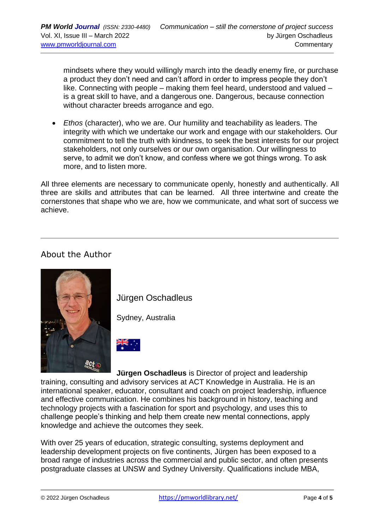mindsets where they would willingly march into the deadly enemy fire, or purchase a product they don't need and can't afford in order to impress people they don't like. Connecting with people – making them feel heard, understood and valued – is a great skill to have, and a dangerous one. Dangerous, because connection without character breeds arrogance and ego.

• *Ethos* (character), who we are. Our humility and teachability as leaders. The integrity with which we undertake our work and engage with our stakeholders. Our commitment to tell the truth with kindness, to seek the best interests for our project stakeholders, not only ourselves or our own organisation. Our willingness to serve, to admit we don't know, and confess where we got things wrong. To ask more, and to listen more.

All three elements are necessary to communicate openly, honestly and authentically. All three are skills and attributes that can be learned. All three intertwine and create the cornerstones that shape who we are, how we communicate, and what sort of success we achieve.

## About the Author



Jürgen Oschadleus

Sydney, Australia



**Jürgen Oschadleus** is Director of project and leadership training, consulting and advisory services at ACT Knowledge in Australia. He is an international speaker, educator, consultant and coach on project leadership, influence and effective communication. He combines his background in history, teaching and technology projects with a fascination for sport and psychology, and uses this to challenge people's thinking and help them create new mental connections, apply knowledge and achieve the outcomes they seek.

With over 25 years of education, strategic consulting, systems deployment and leadership development projects on five continents, Jürgen has been exposed to a broad range of industries across the commercial and public sector, and often presents postgraduate classes at UNSW and Sydney University. Qualifications include MBA,